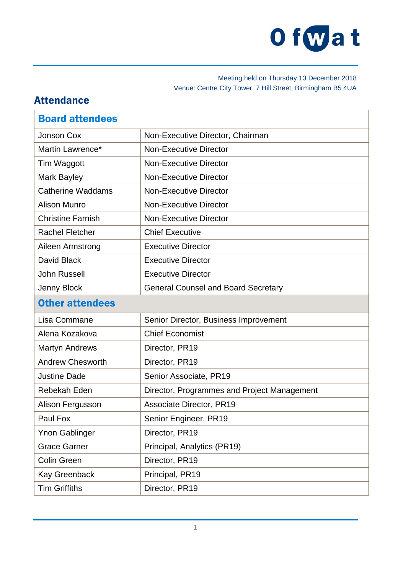

### Meeting held on Thursday 13 December 2018 Venue: Centre City Tower, 7 Hill Street, Birmingham B5 4UA

# Attendance

| <b>Board attendees</b>   |                                             |
|--------------------------|---------------------------------------------|
| Jonson Cox               | Non-Executive Director, Chairman            |
| Martin Lawrence*         | <b>Non-Executive Director</b>               |
| Tim Waggott              | <b>Non-Executive Director</b>               |
| Mark Bayley              | <b>Non-Executive Director</b>               |
| <b>Catherine Waddams</b> | <b>Non-Executive Director</b>               |
| <b>Alison Munro</b>      | <b>Non-Executive Director</b>               |
| <b>Christine Farnish</b> | <b>Non-Executive Director</b>               |
| <b>Rachel Fletcher</b>   | <b>Chief Executive</b>                      |
| Aileen Armstrong         | <b>Executive Director</b>                   |
| David Black              | <b>Executive Director</b>                   |
| <b>John Russell</b>      | <b>Executive Director</b>                   |
| Jenny Block              | <b>General Counsel and Board Secretary</b>  |
| <b>Other attendees</b>   |                                             |
| Lisa Commane             | Senior Director, Business Improvement       |
| Alena Kozakova           | <b>Chief Economist</b>                      |
| <b>Martyn Andrews</b>    | Director, PR19                              |
| <b>Andrew Chesworth</b>  | Director, PR19                              |
| <b>Justine Dade</b>      | Senior Associate, PR19                      |
| Rebekah Eden             | Director, Programmes and Project Management |
| Alison Fergusson         | <b>Associate Director, PR19</b>             |
| Paul Fox                 | Senior Engineer, PR19                       |
| <b>Ynon Gablinger</b>    | Director, PR19                              |
| <b>Grace Garner</b>      | Principal, Analytics (PR19)                 |
| <b>Colin Green</b>       | Director, PR19                              |
| <b>Kay Greenback</b>     | Principal, PR19                             |
| <b>Tim Griffiths</b>     | Director, PR19                              |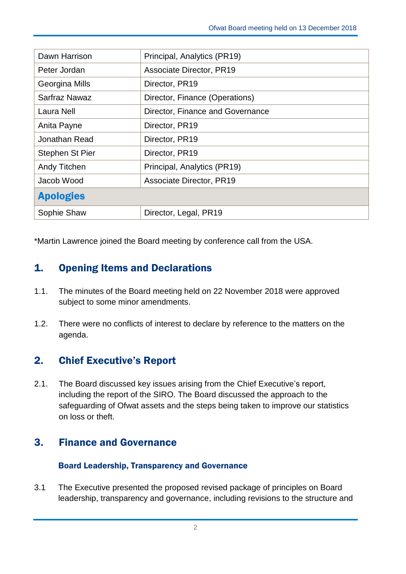| Dawn Harrison    | Principal, Analytics (PR19)      |
|------------------|----------------------------------|
| Peter Jordan     | Associate Director, PR19         |
| Georgina Mills   | Director, PR19                   |
| Sarfraz Nawaz    | Director, Finance (Operations)   |
| Laura Nell       | Director, Finance and Governance |
| Anita Payne      | Director, PR19                   |
| Jonathan Read    | Director, PR19                   |
| Stephen St Pier  | Director, PR19                   |
| Andy Titchen     | Principal, Analytics (PR19)      |
| Jacob Wood       | Associate Director, PR19         |
| <b>Apologies</b> |                                  |
| Sophie Shaw      | Director, Legal, PR19            |

\*Martin Lawrence joined the Board meeting by conference call from the USA.

# 1. Opening Items and Declarations

- 1.1. The minutes of the Board meeting held on 22 November 2018 were approved subject to some minor amendments.
- 1.2. There were no conflicts of interest to declare by reference to the matters on the agenda.

# 2. Chief Executive's Report

2.1. The Board discussed key issues arising from the Chief Executive's report, including the report of the SIRO. The Board discussed the approach to the safeguarding of Ofwat assets and the steps being taken to improve our statistics on loss or theft.

# 3. Finance and Governance

### Board Leadership, Transparency and Governance

3.1 The Executive presented the proposed revised package of principles on Board leadership, transparency and governance, including revisions to the structure and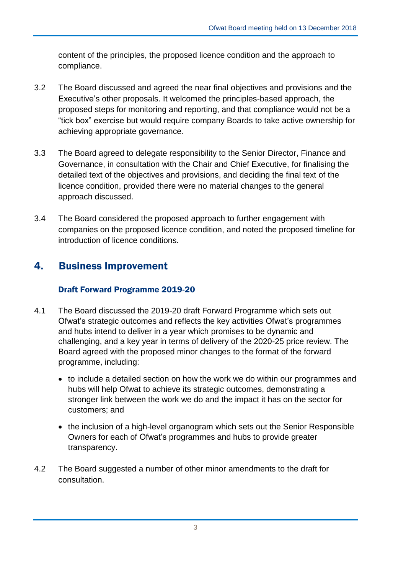content of the principles, the proposed licence condition and the approach to compliance.

- 3.2 The Board discussed and agreed the near final objectives and provisions and the Executive's other proposals. It welcomed the principles-based approach, the proposed steps for monitoring and reporting, and that compliance would not be a "tick box" exercise but would require company Boards to take active ownership for achieving appropriate governance.
- 3.3 The Board agreed to delegate responsibility to the Senior Director, Finance and Governance, in consultation with the Chair and Chief Executive, for finalising the detailed text of the objectives and provisions, and deciding the final text of the licence condition, provided there were no material changes to the general approach discussed.
- 3.4 The Board considered the proposed approach to further engagement with companies on the proposed licence condition, and noted the proposed timeline for introduction of licence conditions.

# 4. Business Improvement

### Draft Forward Programme 2019-20

- 4.1 The Board discussed the 2019-20 draft Forward Programme which sets out Ofwat's strategic outcomes and reflects the key activities Ofwat's programmes and hubs intend to deliver in a year which promises to be dynamic and challenging, and a key year in terms of delivery of the 2020-25 price review. The Board agreed with the proposed minor changes to the format of the forward programme, including:
	- to include a detailed section on how the work we do within our programmes and hubs will help Ofwat to achieve its strategic outcomes, demonstrating a stronger link between the work we do and the impact it has on the sector for customers; and
	- the inclusion of a high-level organogram which sets out the Senior Responsible Owners for each of Ofwat's programmes and hubs to provide greater transparency.
- 4.2 The Board suggested a number of other minor amendments to the draft for consultation.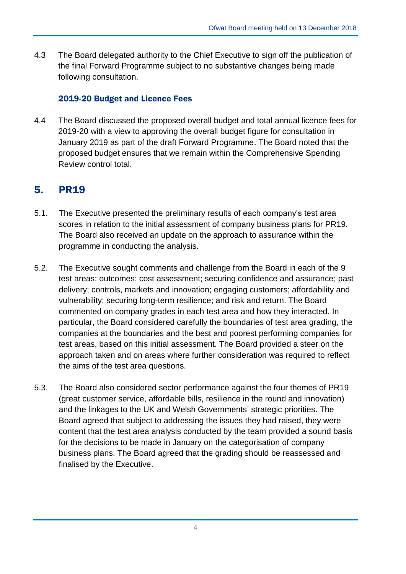4.3 The Board delegated authority to the Chief Executive to sign off the publication of the final Forward Programme subject to no substantive changes being made following consultation.

## 2019-20 Budget and Licence Fees

4.4 The Board discussed the proposed overall budget and total annual licence fees for 2019-20 with a view to approving the overall budget figure for consultation in January 2019 as part of the draft Forward Programme. The Board noted that the proposed budget ensures that we remain within the Comprehensive Spending Review control total.

# 5. PR19

- 5.1. The Executive presented the preliminary results of each company's test area scores in relation to the initial assessment of company business plans for PR19. The Board also received an update on the approach to assurance within the programme in conducting the analysis.
- 5.2. The Executive sought comments and challenge from the Board in each of the 9 test areas: outcomes; cost assessment; securing confidence and assurance; past delivery; controls, markets and innovation; engaging customers; affordability and vulnerability; securing long-term resilience; and risk and return. The Board commented on company grades in each test area and how they interacted. In particular, the Board considered carefully the boundaries of test area grading, the companies at the boundaries and the best and poorest performing companies for test areas, based on this initial assessment. The Board provided a steer on the approach taken and on areas where further consideration was required to reflect the aims of the test area questions.
- 5.3. The Board also considered sector performance against the four themes of PR19 (great customer service, affordable bills, resilience in the round and innovation) and the linkages to the UK and Welsh Governments' strategic priorities. The Board agreed that subject to addressing the issues they had raised, they were content that the test area analysis conducted by the team provided a sound basis for the decisions to be made in January on the categorisation of company business plans. The Board agreed that the grading should be reassessed and finalised by the Executive.